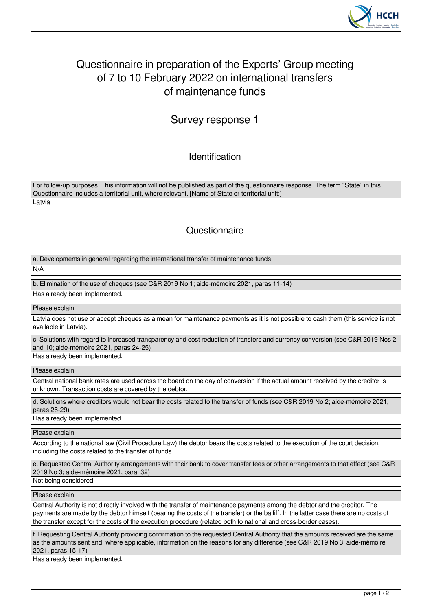

## Questionnaire in preparation of the Experts' Group meeting of 7 to 10 February 2022 on international transfers of maintenance funds

Survey response 1

Identification

For follow-up purposes. This information will not be published as part of the questionnaire response. The term "State" in this Questionnaire includes a territorial unit, where relevant. [Name of State or territorial unit:] Latvia

## **Questionnaire**

a. Developments in general regarding the international transfer of maintenance funds

 $N/A$ 

b. Elimination of the use of cheques (see C&R 2019 No 1; aide-mémoire 2021, paras 11-14) Has already been implemented.

Please explain:

Latvia does not use or accept cheques as a mean for maintenance payments as it is not possible to cash them (this service is not available in Latvia).

c. Solutions with regard to increased transparency and cost reduction of transfers and currency conversion (see C&R 2019 Nos 2 and 10; aide-mémoire 2021, paras 24-25) Has already been implemented.

Please explain:

Central national bank rates are used across the board on the day of conversion if the actual amount received by the creditor is unknown. Transaction costs are covered by the debtor.

d. Solutions where creditors would not bear the costs related to the transfer of funds (see C&R 2019 No 2; aide-mémoire 2021, paras 26-29)

Has already been implemented.

Please explain:

According to the national law (Civil Procedure Law) the debtor bears the costs related to the execution of the court decision, including the costs related to the transfer of funds.

e. Requested Central Authority arrangements with their bank to cover transfer fees or other arrangements to that effect (see C&R 2019 No 3; aide-mémoire 2021, para. 32)

Not being considered.

Please explain:

Central Authority is not directly involved with the transfer of maintenance payments among the debtor and the creditor. The payments are made by the debtor himself (bearing the costs of the transfer) or the bailiff. In the latter case there are no costs of the transfer except for the costs of the execution procedure (related both to national and cross-border cases).

f. Requesting Central Authority providing confirmation to the requested Central Authority that the amounts received are the same as the amounts sent and, where applicable, information on the reasons for any difference (see C&R 2019 No 3; aide-mémoire 2021, paras 15-17)

Has already been implemented.